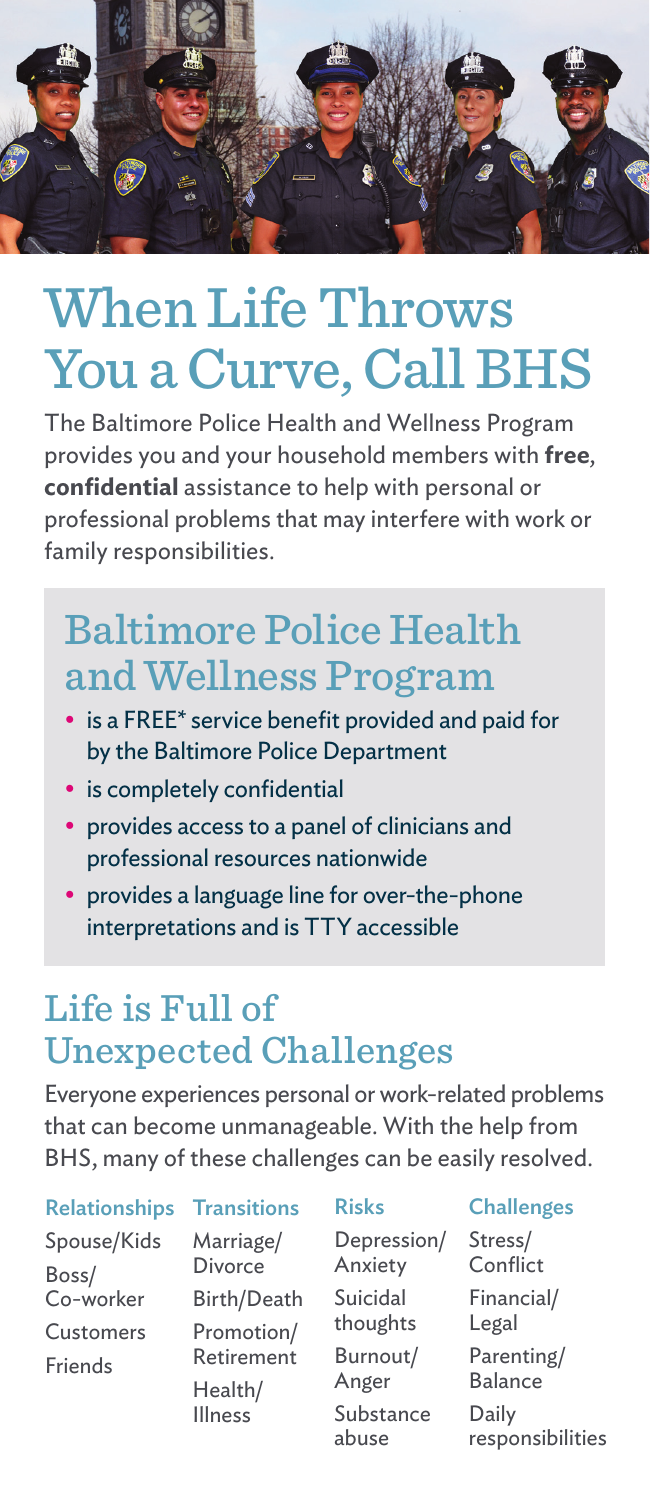

# When Life Throws You a Curve, Call BHS

The Baltimore Police Health and Wellness Program provides you and your household members with **free**, **confidential** assistance to help with personal or professional problems that may interfere with work or family responsibilities.

### Baltimore Police Health and Wellness Program

- is a FREE\* service benefit provided and paid for by the Baltimore Police Department
- is completely confidential
- provides access to a panel of clinicians and professional resources nationwide
- provides a language line for over-the-phone interpretations and is TTY accessible

### Life is Full of Unexpected Challenges

Everyone experiences personal or work-related problems that can become unmanageable. With the help from BHS, many of these challenges can be easily resolved.

Relationships Spouse/Kids Boss/ Co-worker Customers Friends

**Transitions** 

Marriage/ Divorce Birth/Death Promotion/ Retirement Health/ Illness

Risks

Depression/ Anxiety Suicidal thoughts Burnout/ Anger Substance abuse

**Challenges** 

Stress/ **Conflict** Financial/ Legal Parenting/ Balance Daily responsibilities